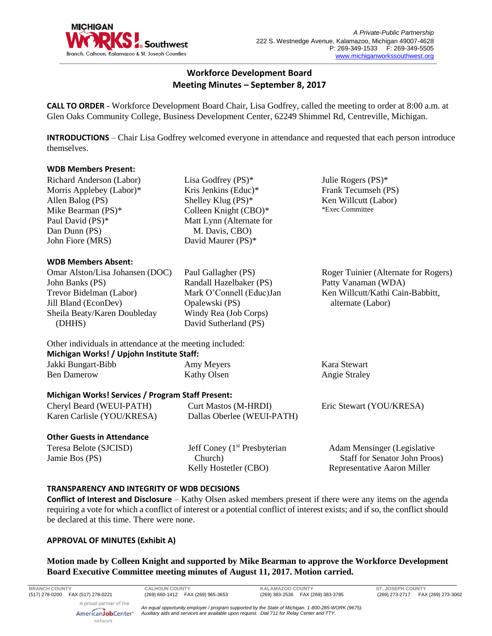

# **Workforce Development Board Meeting Minutes – September 8, 2017**

**CALL TO ORDER** - Workforce Development Board Chair, Lisa Godfrey, called the meeting to order at 8:00 a.m. at Glen Oaks Community College, Business Development Center, 62249 Shimmel Rd, Centreville, Michigan.

**INTRODUCTIONS** – Chair Lisa Godfrey welcomed everyone in attendance and requested that each person introduce themselves.

#### **WDB Members Present:**

Richard Anderson (Labor) Morris Applebey (Labor)\* Allen Balog (PS) Mike Bearman (PS)\* Paul David (PS)\* Dan Dunn (PS) John Fiore (MRS)

#### **WDB Members Absent:**

Omar Alston/Lisa Johansen (DOC) John Banks (PS) Trevor Bidelman (Labor) Jill Bland (EconDev) Sheila Beaty/Karen Doubleday (DHHS)

Lisa Godfrey (PS)\* Kris Jenkins (Educ)\* Shelley Klug (PS)\* Colleen Knight (CBO)\* Matt Lynn (Alternate for M. Davis, CBO) David Maurer (PS)\*

Paul Gallagher (PS) Randall Hazelbaker (PS) Mark O'Connell (Educ)Jan Opalewski (PS) Windy Rea (Job Corps) David Sutherland (PS)

Julie Rogers (PS)\* Frank Tecumseh (PS) Ken Willcutt (Labor) \*Exec Committee

Roger Tuinier (Alternate for Rogers) Patty Vanaman (WDA) Ken Willcutt/Kathi Cain-Babbitt, alternate (Labor)

Other individuals in attendance at the meeting included:

#### **Michigan Works! / Upjohn Institute Staff:** Jakki Bungart-Bibb Ben Damerow Amy Meyers Kathy Olsen Kara Stewart Angie Straley **Michigan Works! Services / Program Staff Present:** Cheryl Beard (WEUI-PATH) Karen Carlisle (YOU/KRESA) Curt Mastos (M-HRDI) Dallas Oberlee (WEUI-PATH) Eric Stewart (YOU/KRESA)

#### **Other Guests in Attendance**

Teresa Belote (SJCISD) Jamie Bos (PS)

Jeff Coney  $(1<sup>st</sup>$  Presbyterian Church) Kelly Hostetler (CBO)

Adam Mensinger (Legislative Staff for Senator John Proos) Representative Aaron Miller

#### **TRANSPARENCY AND INTEGRITY OF WDB DECISIONS**

**Conflict of Interest and Disclosure** – Kathy Olsen asked members present if there were any items on the agenda requiring a vote for which a conflict of interest or a potential conflict of interest exists; and if so, the conflict should be declared at this time. There were none.

# **APPROVAL OF MINUTES (Exhibit A)**

**Motion made by Colleen Knight and supported by Mike Bearman to approve the Workforce Development Board Executive Committee meeting minutes of August 11, 2017. Motion carried.** 

**BRANCH COUNTY CALHOUN COUNTY KALAMAZOO COUNTY ST. JOSEPH COUNTY**

*An equal opportunity employer / program supported by the State of Michigan. 1-800-285-WORK (9675). Auxiliary aids and services are available upon request. Dial 711 for Relay Center and TTY.*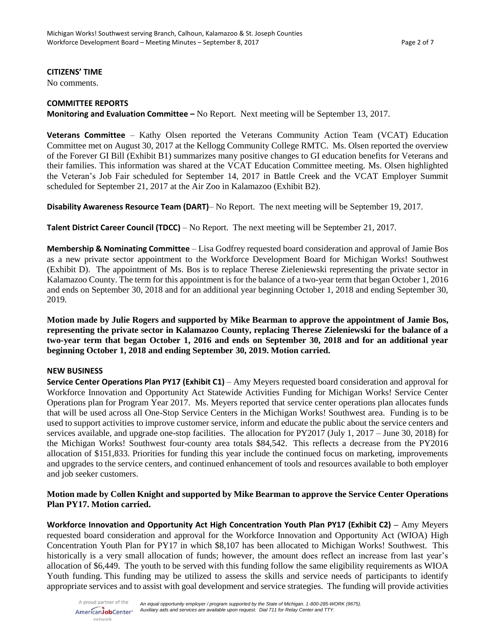#### **CITIZENS' TIME**

No comments.

## **COMMITTEE REPORTS**

**Monitoring and Evaluation Committee –** No Report. Next meeting will be September 13, 2017.

**Veterans Committee** – Kathy Olsen reported the Veterans Community Action Team (VCAT) Education Committee met on August 30, 2017 at the Kellogg Community College RMTC. Ms. Olsen reported the overview of the Forever GI Bill (Exhibit B1) summarizes many positive changes to GI education benefits for Veterans and their families. This information was shared at the VCAT Education Committee meeting. Ms. Olsen highlighted the Veteran's Job Fair scheduled for September 14, 2017 in Battle Creek and the VCAT Employer Summit scheduled for September 21, 2017 at the Air Zoo in Kalamazoo (Exhibit B2).

**Disability Awareness Resource Team (DART)**– No Report. The next meeting will be September 19, 2017.

**Talent District Career Council (TDCC)** – No Report. The next meeting will be September 21, 2017.

**Membership & Nominating Committee** – Lisa Godfrey requested board consideration and approval of Jamie Bos as a new private sector appointment to the Workforce Development Board for Michigan Works! Southwest (Exhibit D). The appointment of Ms. Bos is to replace Therese Zieleniewski representing the private sector in Kalamazoo County. The term for this appointment is for the balance of a two-year term that began October 1, 2016 and ends on September 30, 2018 and for an additional year beginning October 1, 2018 and ending September 30, 2019.

**Motion made by Julie Rogers and supported by Mike Bearman to approve the appointment of Jamie Bos, representing the private sector in Kalamazoo County, replacing Therese Zieleniewski for the balance of a two-year term that began October 1, 2016 and ends on September 30, 2018 and for an additional year beginning October 1, 2018 and ending September 30, 2019. Motion carried.**

#### **NEW BUSINESS**

**Service Center Operations Plan PY17 (Exhibit C1)** – Amy Meyers requested board consideration and approval for Workforce Innovation and Opportunity Act Statewide Activities Funding for Michigan Works! Service Center Operations plan for Program Year 2017. Ms. Meyers reported that service center operations plan allocates funds that will be used across all One-Stop Service Centers in the Michigan Works! Southwest area. Funding is to be used to support activities to improve customer service, inform and educate the public about the service centers and services available, and upgrade one-stop facilities. The allocation for PY2017 (July 1, 2017 – June 30, 2018) for the Michigan Works! Southwest four-county area totals \$84,542. This reflects a decrease from the PY2016 allocation of \$151,833. Priorities for funding this year include the continued focus on marketing, improvements and upgrades to the service centers, and continued enhancement of tools and resources available to both employer and job seeker customers.

#### **Motion made by Collen Knight and supported by Mike Bearman to approve the Service Center Operations Plan PY17. Motion carried.**

**Workforce Innovation and Opportunity Act High Concentration Youth Plan PY17 (Exhibit C2) –** Amy Meyers requested board consideration and approval for the Workforce Innovation and Opportunity Act (WIOA) High Concentration Youth Plan for PY17 in which \$8,107 has been allocated to Michigan Works! Southwest. This historically is a very small allocation of funds; however, the amount does reflect an increase from last year's allocation of \$6,449. The youth to be served with this funding follow the same eligibility requirements as WIOA Youth funding. This funding may be utilized to assess the skills and service needs of participants to identify appropriate services and to assist with goal development and service strategies. The funding will provide activities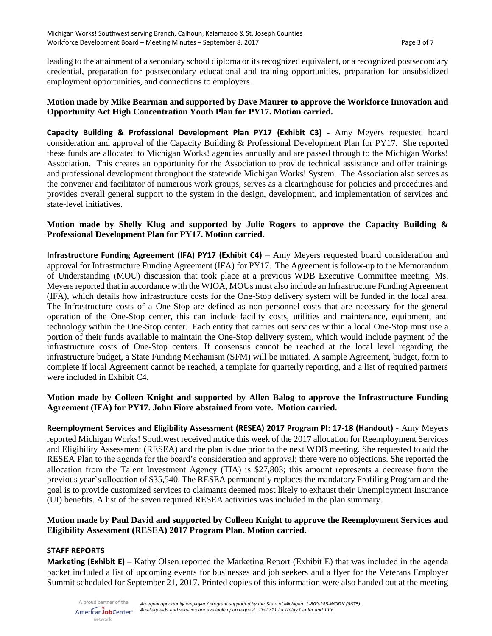leading to the attainment of a secondary school diploma or its recognized equivalent, or a recognized postsecondary credential, preparation for postsecondary educational and training opportunities, preparation for unsubsidized employment opportunities, and connections to employers.

#### **Motion made by Mike Bearman and supported by Dave Maurer to approve the Workforce Innovation and Opportunity Act High Concentration Youth Plan for PY17. Motion carried.**

**Capacity Building & Professional Development Plan PY17 (Exhibit C3) -** Amy Meyers requested board consideration and approval of the Capacity Building & Professional Development Plan for PY17. She reported these funds are allocated to Michigan Works! agencies annually and are passed through to the Michigan Works! Association. This creates an opportunity for the Association to provide technical assistance and offer trainings and professional development throughout the statewide Michigan Works! System. The Association also serves as the convener and facilitator of numerous work groups, serves as a clearinghouse for policies and procedures and provides overall general support to the system in the design, development, and implementation of services and state-level initiatives.

## **Motion made by Shelly Klug and supported by Julie Rogers to approve the Capacity Building & Professional Development Plan for PY17. Motion carried.**

**Infrastructure Funding Agreement (IFA) PY17 (Exhibit C4) – Amy Meyers requested board consideration and** approval for Infrastructure Funding Agreement (IFA) for PY17. The Agreement is follow-up to the Memorandum of Understanding (MOU) discussion that took place at a previous WDB Executive Committee meeting. Ms. Meyers reported that in accordance with the WIOA, MOUs must also include an Infrastructure Funding Agreement (IFA), which details how infrastructure costs for the One-Stop delivery system will be funded in the local area. The Infrastructure costs of a One-Stop are defined as non-personnel costs that are necessary for the general operation of the One-Stop center, this can include facility costs, utilities and maintenance, equipment, and technology within the One-Stop center. Each entity that carries out services within a local One-Stop must use a portion of their funds available to maintain the One-Stop delivery system, which would include payment of the infrastructure costs of One-Stop centers. If consensus cannot be reached at the local level regarding the infrastructure budget, a State Funding Mechanism (SFM) will be initiated. A sample Agreement, budget, form to complete if local Agreement cannot be reached, a template for quarterly reporting, and a list of required partners were included in Exhibit C4.

# **Motion made by Colleen Knight and supported by Allen Balog to approve the Infrastructure Funding Agreement (IFA) for PY17. John Fiore abstained from vote. Motion carried.**

**Reemployment Services and Eligibility Assessment (RESEA) 2017 Program PI: 17-18 (Handout) -** Amy Meyers reported Michigan Works! Southwest received notice this week of the 2017 allocation for Reemployment Services and Eligibility Assessment (RESEA) and the plan is due prior to the next WDB meeting. She requested to add the RESEA Plan to the agenda for the board's consideration and approval; there were no objections. She reported the allocation from the Talent Investment Agency (TIA) is \$27,803; this amount represents a decrease from the previous year's allocation of \$35,540. The RESEA permanently replaces the mandatory Profiling Program and the goal is to provide customized services to claimants deemed most likely to exhaust their Unemployment Insurance (UI) benefits. A list of the seven required RESEA activities was included in the plan summary.

#### **Motion made by Paul David and supported by Colleen Knight to approve the Reemployment Services and Eligibility Assessment (RESEA) 2017 Program Plan. Motion carried.**

#### **STAFF REPORTS**

**Marketing (Exhibit E)** – Kathy Olsen reported the Marketing Report (Exhibit E) that was included in the agenda packet included a list of upcoming events for businesses and job seekers and a flyer for the Veterans Employer Summit scheduled for September 21, 2017. Printed copies of this information were also handed out at the meeting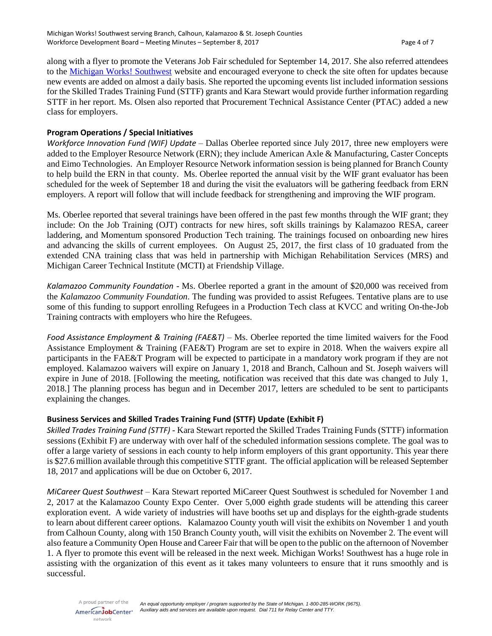along with a flyer to promote the Veterans Job Fair scheduled for September 14, 2017. She also referred attendees to the [Michigan Works! Southwest](http://www.michiganworkssouthwest.org/events/employer-of-the-day) website and encouraged everyone to check the site often for updates because new events are added on almost a daily basis. She reported the upcoming events list included information sessions for the Skilled Trades Training Fund (STTF) grants and Kara Stewart would provide further information regarding STTF in her report. Ms. Olsen also reported that Procurement Technical Assistance Center (PTAC) added a new class for employers.

#### **Program Operations / Special Initiatives**

*Workforce Innovation Fund (WIF) Update* – Dallas Oberlee reported since July 2017, three new employers were added to the Employer Resource Network (ERN); they include American Axle & Manufacturing, Caster Concepts and Eimo Technologies. An Employer Resource Network information session is being planned for Branch County to help build the ERN in that county. Ms. Oberlee reported the annual visit by the WIF grant evaluator has been scheduled for the week of September 18 and during the visit the evaluators will be gathering feedback from ERN employers. A report will follow that will include feedback for strengthening and improving the WIF program.

Ms. Oberlee reported that several trainings have been offered in the past few months through the WIF grant; they include: On the Job Training (OJT) contracts for new hires, soft skills trainings by Kalamazoo RESA, career laddering, and Momentum sponsored Production Tech training. The trainings focused on onboarding new hires and advancing the skills of current employees. On August 25, 2017, the first class of 10 graduated from the extended CNA training class that was held in partnership with Michigan Rehabilitation Services (MRS) and Michigan Career Technical Institute (MCTI) at Friendship Village.

*Kalamazoo Community Foundation* - Ms. Oberlee reported a grant in the amount of \$20,000 was received from the *Kalamazoo Community Foundation*. The funding was provided to assist Refugees. Tentative plans are to use some of this funding to support enrolling Refugees in a Production Tech class at KVCC and writing On-the-Job Training contracts with employers who hire the Refugees.

*Food Assistance Employment & Training (FAE&T) –* Ms. Oberlee reported the time limited waivers for the Food Assistance Employment & Training (FAE&T) Program are set to expire in 2018. When the waivers expire all participants in the FAE&T Program will be expected to participate in a mandatory work program if they are not employed. Kalamazoo waivers will expire on January 1, 2018 and Branch, Calhoun and St. Joseph waivers will expire in June of 2018. [Following the meeting, notification was received that this date was changed to July 1, 2018.] The planning process has begun and in December 2017, letters are scheduled to be sent to participants explaining the changes.

#### **Business Services and Skilled Trades Training Fund (STTF) Update (Exhibit F)**

*Skilled Trades Training Fund (STTF) -* Kara Stewart reported the Skilled Trades Training Funds (STTF) information sessions (Exhibit F) are underway with over half of the scheduled information sessions complete. The goal was to offer a large variety of sessions in each county to help inform employers of this grant opportunity. This year there is \$27.6 million available through this competitive STTF grant. The official application will be released September 18, 2017 and applications will be due on October 6, 2017.

*MiCareer Quest Southwest –* Kara Stewart reported MiCareer Quest Southwest is scheduled for November 1 and 2, 2017 at the Kalamazoo County Expo Center. Over 5,000 eighth grade students will be attending this career exploration event. A wide variety of industries will have booths set up and displays for the eighth-grade students to learn about different career options. Kalamazoo County youth will visit the exhibits on November 1 and youth from Calhoun County, along with 150 Branch County youth, will visit the exhibits on November 2. The event will also feature a Community Open House and Career Fair that will be open to the public on the afternoon of November 1. A flyer to promote this event will be released in the next week. Michigan Works! Southwest has a huge role in assisting with the organization of this event as it takes many volunteers to ensure that it runs smoothly and is successful.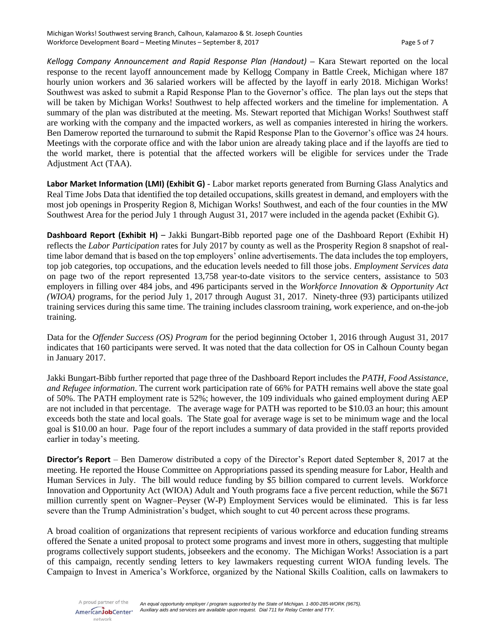*Kellogg Company Announcement and Rapid Response Plan (Handout)* **–** Kara Stewart reported on the local response to the recent layoff announcement made by Kellogg Company in Battle Creek, Michigan where 187 hourly union workers and 36 salaried workers will be affected by the layoff in early 2018. Michigan Works! Southwest was asked to submit a Rapid Response Plan to the Governor's office. The plan lays out the steps that will be taken by Michigan Works! Southwest to help affected workers and the timeline for implementation. A summary of the plan was distributed at the meeting. Ms. Stewart reported that Michigan Works! Southwest staff are working with the company and the impacted workers, as well as companies interested in hiring the workers. Ben Damerow reported the turnaround to submit the Rapid Response Plan to the Governor's office was 24 hours. Meetings with the corporate office and with the labor union are already taking place and if the layoffs are tied to the world market, there is potential that the affected workers will be eligible for services under the Trade Adjustment Act (TAA).

**Labor Market Information (LMI) (Exhibit G)** - Labor market reports generated from Burning Glass Analytics and Real Time Jobs Data that identified the top detailed occupations, skills greatest in demand, and employers with the most job openings in Prosperity Region 8, Michigan Works! Southwest, and each of the four counties in the MW Southwest Area for the period July 1 through August 31, 2017 were included in the agenda packet (Exhibit G).

**Dashboard Report (Exhibit H)** – Jakki Bungart-Bibb reported page one of the Dashboard Report (Exhibit H) reflects the *Labor Participation* rates for July 2017 by county as well as the Prosperity Region 8 snapshot of realtime labor demand that is based on the top employers' online advertisements. The data includes the top employers, top job categories, top occupations, and the education levels needed to fill those jobs. *Employment Services data* on page two of the report represented 13,758 year-to-date visitors to the service centers, assistance to 503 employers in filling over 484 jobs, and 496 participants served in the *Workforce Innovation & Opportunity Act (WIOA)* programs, for the period July 1, 2017 through August 31, 2017. Ninety-three (93) participants utilized training services during this same time. The training includes classroom training, work experience, and on-the-job training.

Data for the *Offender Success (OS) Program* for the period beginning October 1, 2016 through August 31, 2017 indicates that 160 participants were served. It was noted that the data collection for OS in Calhoun County began in January 2017.

Jakki Bungart-Bibb further reported that page three of the Dashboard Report includes the *PATH, Food Assistance, and Refugee information*. The current work participation rate of 66% for PATH remains well above the state goal of 50%. The PATH employment rate is 52%; however, the 109 individuals who gained employment during AEP are not included in that percentage. The average wage for PATH was reported to be \$10.03 an hour; this amount exceeds both the state and local goals. The State goal for average wage is set to be minimum wage and the local goal is \$10.00 an hour. Page four of the report includes a summary of data provided in the staff reports provided earlier in today's meeting.

**Director's Report** – Ben Damerow distributed a copy of the Director's Report dated September 8, 2017 at the meeting. He reported the House Committee on Appropriations passed its spending measure for Labor, Health and Human Services in July. The bill would reduce funding by \$5 billion compared to current levels. Workforce Innovation and Opportunity Act (WIOA) Adult and Youth programs face a five percent reduction, while the \$671 million currently spent on Wagner–Peyser (W-P) Employment Services would be eliminated. This is far less severe than the Trump Administration's budget, which sought to cut 40 percent across these programs.

A broad coalition of organizations that represent recipients of various workforce and education funding streams offered the Senate a united proposal to protect some programs and invest more in others, suggesting that multiple programs collectively support students, jobseekers and the economy. The Michigan Works! Association is a part of this campaign, recently sending letters to key lawmakers requesting current WIOA funding levels. The Campaign to Invest in America's Workforce, organized by the National Skills Coalition, calls on lawmakers to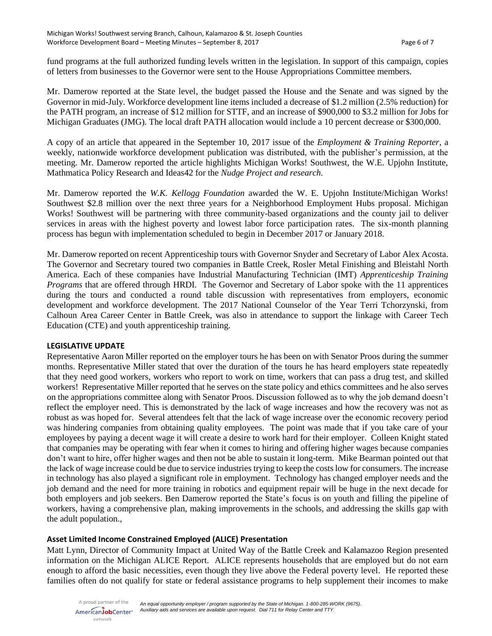fund programs at the full authorized funding levels written in the legislation. In support of this campaign, copies of letters from businesses to the Governor were sent to the House Appropriations Committee members.

Mr. Damerow reported at the State level, the budget passed the House and the Senate and was signed by the Governor in mid-July. Workforce development line items included a decrease of \$1.2 million (2.5% reduction) for the PATH program, an increase of \$12 million for STTF, and an increase of \$900,000 to \$3.2 million for Jobs for Michigan Graduates (JMG). The local draft PATH allocation would include a 10 percent decrease or \$300,000.

A copy of an article that appeared in the September 10, 2017 issue of the *Employment & Training Reporter*, a weekly, nationwide workforce development publication was distributed, with the publisher's permission, at the meeting. Mr. Damerow reported the article highlights Michigan Works! Southwest, the W.E. Upjohn Institute, Mathmatica Policy Research and Ideas42 for the *Nudge Project and research*.

Mr. Damerow reported the *W.K. Kellogg Foundation* awarded the W. E. Upjohn Institute/Michigan Works! Southwest \$2.8 million over the next three years for a Neighborhood Employment Hubs proposal. Michigan Works! Southwest will be partnering with three community-based organizations and the county jail to deliver services in areas with the highest poverty and lowest labor force participation rates. The six-month planning process has begun with implementation scheduled to begin in December 2017 or January 2018.

Mr. Damerow reported on recent Apprenticeship tours with Governor Snyder and Secretary of Labor Alex Acosta. The Governor and Secretary toured two companies in Battle Creek, Rosler Metal Finishing and Bleistahl North America. Each of these companies have Industrial Manufacturing Technician (IMT) *Apprenticeship Training Programs* that are offered through HRDI. The Governor and Secretary of Labor spoke with the 11 apprentices during the tours and conducted a round table discussion with representatives from employers, economic development and workforce development. The 2017 National Counselor of the Year Terri Tchorzynski, from Calhoun Area Career Center in Battle Creek, was also in attendance to support the linkage with Career Tech Education (CTE) and youth apprenticeship training.

#### **LEGISLATIVE UPDATE**

Representative Aaron Miller reported on the employer tours he has been on with Senator Proos during the summer months. Representative Miller stated that over the duration of the tours he has heard employers state repeatedly that they need good workers, workers who report to work on time, workers that can pass a drug test, and skilled workers! Representative Miller reported that he serves on the state policy and ethics committees and he also serves on the appropriations committee along with Senator Proos. Discussion followed as to why the job demand doesn't reflect the employer need. This is demonstrated by the lack of wage increases and how the recovery was not as robust as was hoped for. Several attendees felt that the lack of wage increase over the economic recovery period was hindering companies from obtaining quality employees. The point was made that if you take care of your employees by paying a decent wage it will create a desire to work hard for their employer. Colleen Knight stated that companies may be operating with fear when it comes to hiring and offering higher wages because companies don't want to hire, offer higher wages and then not be able to sustain it long-term. Mike Bearman pointed out that the lack of wage increase could be due to service industries trying to keep the costs low for consumers. The increase in technology has also played a significant role in employment. Technology has changed employer needs and the job demand and the need for more training in robotics and equipment repair will be huge in the next decade for both employers and job seekers. Ben Damerow reported the State's focus is on youth and filling the pipeline of workers, having a comprehensive plan, making improvements in the schools, and addressing the skills gap with the adult population.,

#### **Asset Limited Income Constrained Employed (ALICE) Presentation**

Matt Lynn, Director of Community Impact at United Way of the Battle Creek and Kalamazoo Region presented information on the Michigan ALICE Report. ALICE represents households that are employed but do not earn enough to afford the basic necessities, even though they live above the Federal poverty level. He reported these families often do not qualify for state or federal assistance programs to help supplement their incomes to make